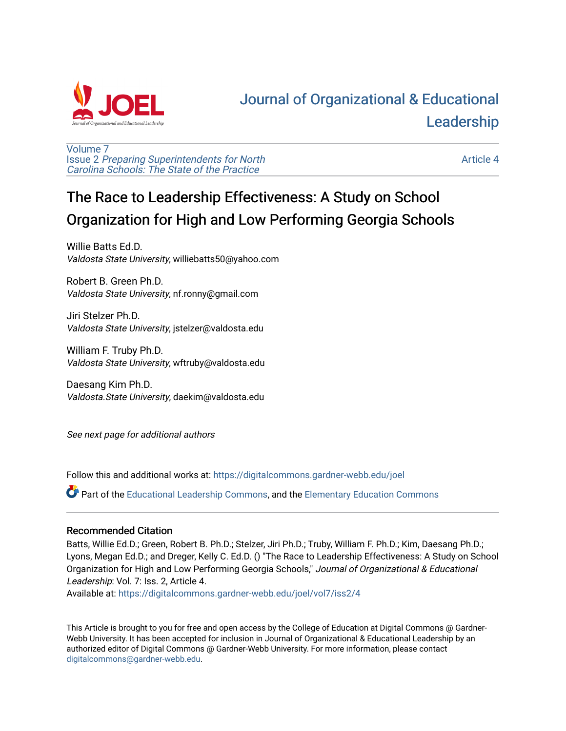

# [Journal of Organizational & Educational](https://digitalcommons.gardner-webb.edu/joel)  [Leadership](https://digitalcommons.gardner-webb.edu/joel)

[Volume 7](https://digitalcommons.gardner-webb.edu/joel/vol7) Issue 2 [Preparing Superintendents for North](https://digitalcommons.gardner-webb.edu/joel/vol7/iss2)  [Carolina Schools: The State of the Practice](https://digitalcommons.gardner-webb.edu/joel/vol7/iss2)

[Article 4](https://digitalcommons.gardner-webb.edu/joel/vol7/iss2/4) 

# The Race to Leadership Effectiveness: A Study on School Organization for High and Low Performing Georgia Schools

Willie Batts Ed.D. Valdosta State University, williebatts50@yahoo.com

Robert B. Green Ph.D. Valdosta State University, nf.ronny@gmail.com

Jiri Stelzer Ph.D. Valdosta State University, jstelzer@valdosta.edu

William F. Truby Ph.D. Valdosta State University, wftruby@valdosta.edu

Daesang Kim Ph.D. Valdosta.State University, daekim@valdosta.edu

See next page for additional authors

Follow this and additional works at: [https://digitalcommons.gardner-webb.edu/joel](https://digitalcommons.gardner-webb.edu/joel?utm_source=digitalcommons.gardner-webb.edu%2Fjoel%2Fvol7%2Fiss2%2F4&utm_medium=PDF&utm_campaign=PDFCoverPages) 

Part of the [Educational Leadership Commons,](http://network.bepress.com/hgg/discipline/1230?utm_source=digitalcommons.gardner-webb.edu%2Fjoel%2Fvol7%2Fiss2%2F4&utm_medium=PDF&utm_campaign=PDFCoverPages) and the [Elementary Education Commons](http://network.bepress.com/hgg/discipline/1378?utm_source=digitalcommons.gardner-webb.edu%2Fjoel%2Fvol7%2Fiss2%2F4&utm_medium=PDF&utm_campaign=PDFCoverPages) 

#### Recommended Citation

Batts, Willie Ed.D.; Green, Robert B. Ph.D.; Stelzer, Jiri Ph.D.; Truby, William F. Ph.D.; Kim, Daesang Ph.D.; Lyons, Megan Ed.D.; and Dreger, Kelly C. Ed.D. () "The Race to Leadership Effectiveness: A Study on School Organization for High and Low Performing Georgia Schools," Journal of Organizational & Educational Leadership: Vol. 7: Iss. 2, Article 4.

Available at: [https://digitalcommons.gardner-webb.edu/joel/vol7/iss2/4](https://digitalcommons.gardner-webb.edu/joel/vol7/iss2/4?utm_source=digitalcommons.gardner-webb.edu%2Fjoel%2Fvol7%2Fiss2%2F4&utm_medium=PDF&utm_campaign=PDFCoverPages)

This Article is brought to you for free and open access by the College of Education at Digital Commons @ Gardner-Webb University. It has been accepted for inclusion in Journal of Organizational & Educational Leadership by an authorized editor of Digital Commons @ Gardner-Webb University. For more information, please contact [digitalcommons@gardner-webb.edu](mailto:digitalcommons@gardner-webb.edu).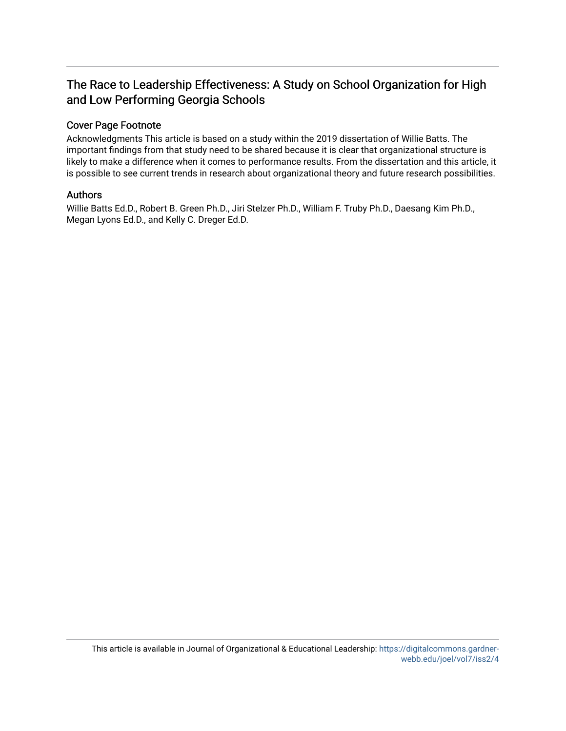## The Race to Leadership Effectiveness: A Study on School Organization for High and Low Performing Georgia Schools

#### Cover Page Footnote

Acknowledgments This article is based on a study within the 2019 dissertation of Willie Batts. The important findings from that study need to be shared because it is clear that organizational structure is likely to make a difference when it comes to performance results. From the dissertation and this article, it is possible to see current trends in research about organizational theory and future research possibilities.

#### Authors

Willie Batts Ed.D., Robert B. Green Ph.D., Jiri Stelzer Ph.D., William F. Truby Ph.D., Daesang Kim Ph.D., Megan Lyons Ed.D., and Kelly C. Dreger Ed.D.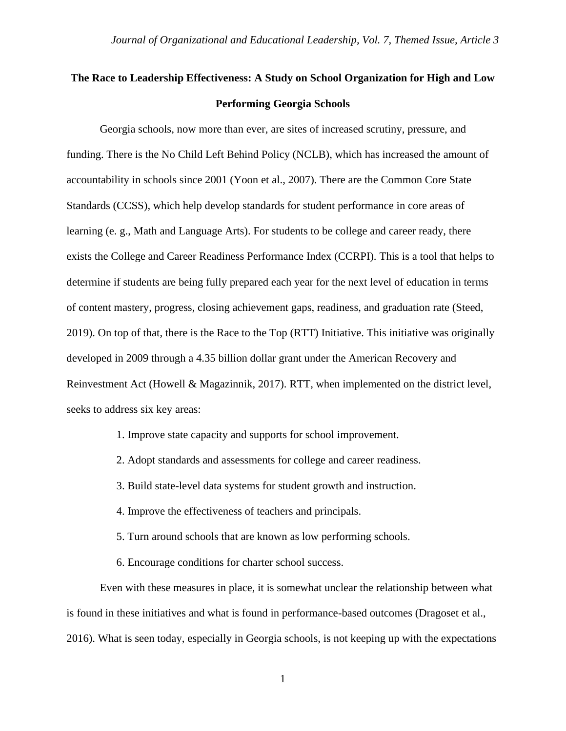## **The Race to Leadership Effectiveness: A Study on School Organization for High and Low Performing Georgia Schools**

Georgia schools, now more than ever, are sites of increased scrutiny, pressure, and funding. There is the No Child Left Behind Policy (NCLB), which has increased the amount of accountability in schools since 2001 (Yoon et al., 2007). There are the Common Core State Standards (CCSS), which help develop standards for student performance in core areas of learning (e. g., Math and Language Arts). For students to be college and career ready, there exists the College and Career Readiness Performance Index (CCRPI). This is a tool that helps to determine if students are being fully prepared each year for the next level of education in terms of content mastery, progress, closing achievement gaps, readiness, and graduation rate (Steed, 2019). On top of that, there is the Race to the Top (RTT) Initiative. This initiative was originally developed in 2009 through a 4.35 billion dollar grant under the American Recovery and Reinvestment Act (Howell & Magazinnik, 2017). RTT, when implemented on the district level, seeks to address six key areas:

- 1. Improve state capacity and supports for school improvement.
- 2. Adopt standards and assessments for college and career readiness.
- 3. Build state-level data systems for student growth and instruction.
- 4. Improve the effectiveness of teachers and principals.
- 5. Turn around schools that are known as low performing schools.
- 6. Encourage conditions for charter school success.

Even with these measures in place, it is somewhat unclear the relationship between what is found in these initiatives and what is found in performance-based outcomes (Dragoset et al., 2016). What is seen today, especially in Georgia schools, is not keeping up with the expectations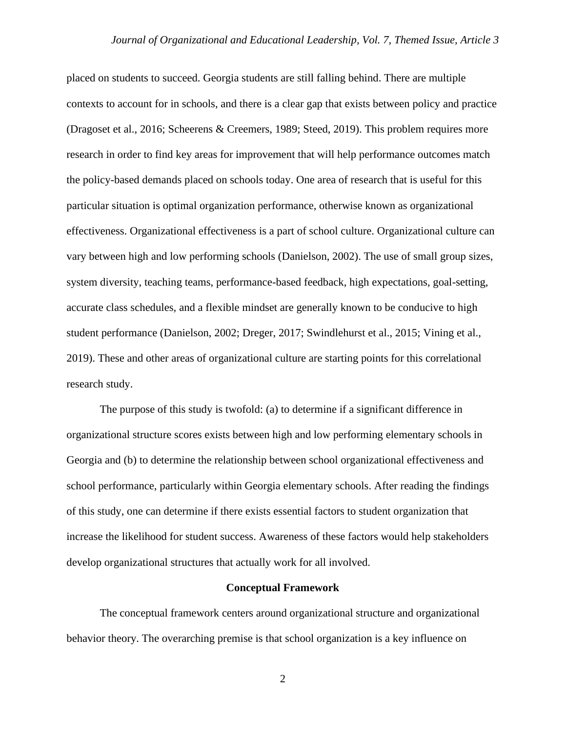placed on students to succeed. Georgia students are still falling behind. There are multiple contexts to account for in schools, and there is a clear gap that exists between policy and practice (Dragoset et al., 2016; Scheerens & Creemers, 1989; Steed, 2019). This problem requires more research in order to find key areas for improvement that will help performance outcomes match the policy-based demands placed on schools today. One area of research that is useful for this particular situation is optimal organization performance, otherwise known as organizational effectiveness. Organizational effectiveness is a part of school culture. Organizational culture can vary between high and low performing schools (Danielson, 2002). The use of small group sizes, system diversity, teaching teams, performance-based feedback, high expectations, goal-setting, accurate class schedules, and a flexible mindset are generally known to be conducive to high student performance (Danielson, 2002; Dreger, 2017; Swindlehurst et al., 2015; Vining et al., 2019). These and other areas of organizational culture are starting points for this correlational research study.

The purpose of this study is twofold: (a) to determine if a significant difference in organizational structure scores exists between high and low performing elementary schools in Georgia and (b) to determine the relationship between school organizational effectiveness and school performance, particularly within Georgia elementary schools. After reading the findings of this study, one can determine if there exists essential factors to student organization that increase the likelihood for student success. Awareness of these factors would help stakeholders develop organizational structures that actually work for all involved.

#### **Conceptual Framework**

The conceptual framework centers around organizational structure and organizational behavior theory. The overarching premise is that school organization is a key influence on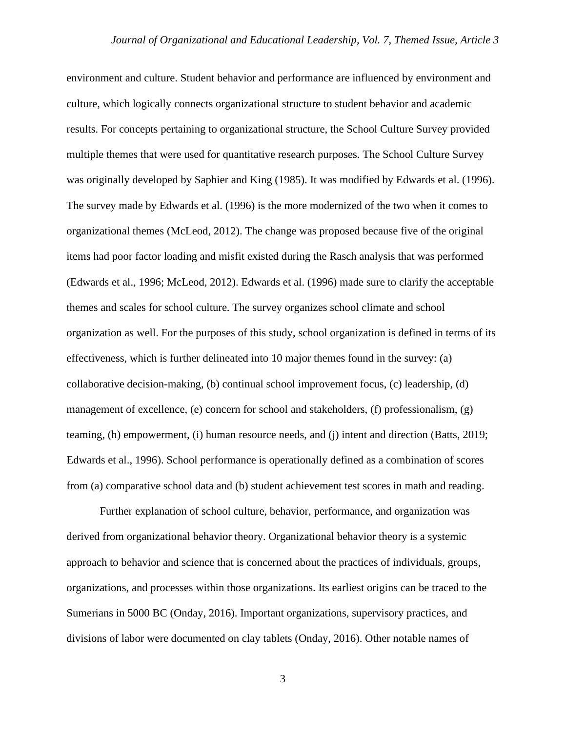environment and culture. Student behavior and performance are influenced by environment and culture, which logically connects organizational structure to student behavior and academic results. For concepts pertaining to organizational structure, the School Culture Survey provided multiple themes that were used for quantitative research purposes. The School Culture Survey was originally developed by Saphier and King (1985). It was modified by Edwards et al. (1996). The survey made by Edwards et al. (1996) is the more modernized of the two when it comes to organizational themes (McLeod, 2012). The change was proposed because five of the original items had poor factor loading and misfit existed during the Rasch analysis that was performed (Edwards et al., 1996; McLeod, 2012). Edwards et al. (1996) made sure to clarify the acceptable themes and scales for school culture. The survey organizes school climate and school organization as well. For the purposes of this study, school organization is defined in terms of its effectiveness, which is further delineated into 10 major themes found in the survey: (a) collaborative decision-making, (b) continual school improvement focus, (c) leadership, (d) management of excellence, (e) concern for school and stakeholders, (f) professionalism, (g) teaming, (h) empowerment, (i) human resource needs, and (j) intent and direction (Batts, 2019; Edwards et al., 1996). School performance is operationally defined as a combination of scores from (a) comparative school data and (b) student achievement test scores in math and reading.

Further explanation of school culture, behavior, performance, and organization was derived from organizational behavior theory. Organizational behavior theory is a systemic approach to behavior and science that is concerned about the practices of individuals, groups, organizations, and processes within those organizations. Its earliest origins can be traced to the Sumerians in 5000 BC (Onday, 2016). Important organizations, supervisory practices, and divisions of labor were documented on clay tablets (Onday, 2016). Other notable names of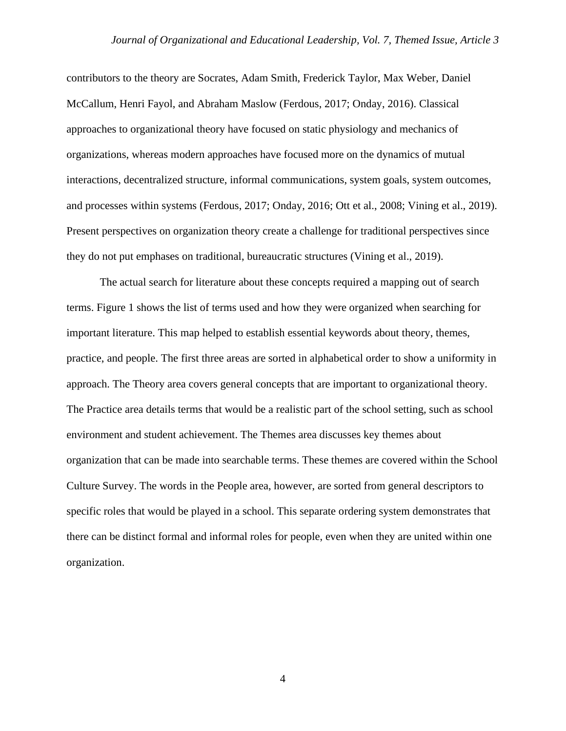contributors to the theory are Socrates, Adam Smith, Frederick Taylor, Max Weber, Daniel McCallum, Henri Fayol, and Abraham Maslow (Ferdous, 2017; Onday, 2016). Classical approaches to organizational theory have focused on static physiology and mechanics of organizations, whereas modern approaches have focused more on the dynamics of mutual interactions, decentralized structure, informal communications, system goals, system outcomes, and processes within systems (Ferdous, 2017; Onday, 2016; Ott et al., 2008; Vining et al., 2019). Present perspectives on organization theory create a challenge for traditional perspectives since they do not put emphases on traditional, bureaucratic structures (Vining et al., 2019).

The actual search for literature about these concepts required a mapping out of search terms. Figure 1 shows the list of terms used and how they were organized when searching for important literature. This map helped to establish essential keywords about theory, themes, practice, and people. The first three areas are sorted in alphabetical order to show a uniformity in approach. The Theory area covers general concepts that are important to organizational theory. The Practice area details terms that would be a realistic part of the school setting, such as school environment and student achievement. The Themes area discusses key themes about organization that can be made into searchable terms. These themes are covered within the School Culture Survey. The words in the People area, however, are sorted from general descriptors to specific roles that would be played in a school. This separate ordering system demonstrates that there can be distinct formal and informal roles for people, even when they are united within one organization.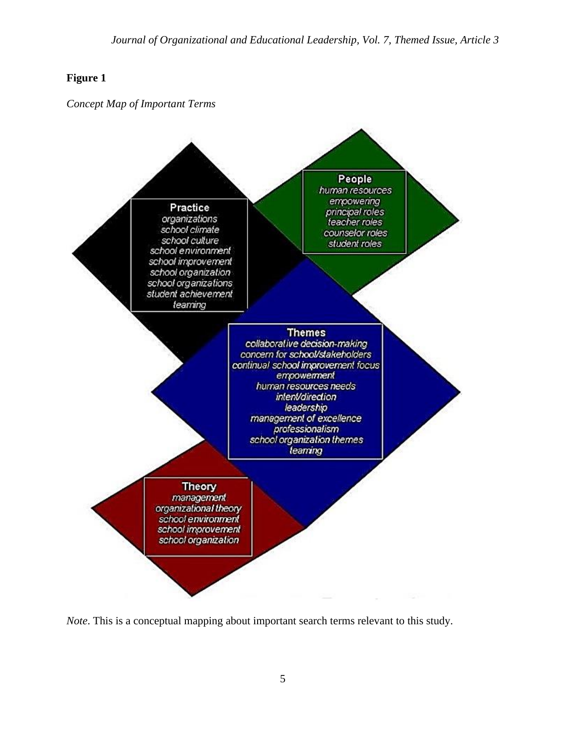## **Figure 1**

*Concept Map of Important Terms*



*Note*. This is a conceptual mapping about important search terms relevant to this study.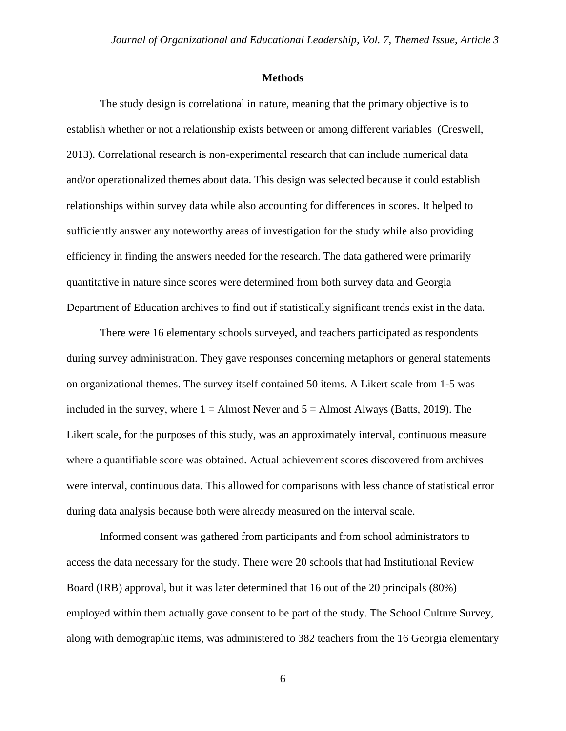#### **Methods**

The study design is correlational in nature, meaning that the primary objective is to establish whether or not a relationship exists between or among different variables (Creswell, 2013). Correlational research is non-experimental research that can include numerical data and/or operationalized themes about data. This design was selected because it could establish relationships within survey data while also accounting for differences in scores. It helped to sufficiently answer any noteworthy areas of investigation for the study while also providing efficiency in finding the answers needed for the research. The data gathered were primarily quantitative in nature since scores were determined from both survey data and Georgia Department of Education archives to find out if statistically significant trends exist in the data.

There were 16 elementary schools surveyed, and teachers participated as respondents during survey administration. They gave responses concerning metaphors or general statements on organizational themes. The survey itself contained 50 items. A Likert scale from 1-5 was included in the survey, where  $1 =$  Almost Never and  $5 =$  Almost Always (Batts, 2019). The Likert scale, for the purposes of this study, was an approximately interval, continuous measure where a quantifiable score was obtained. Actual achievement scores discovered from archives were interval, continuous data. This allowed for comparisons with less chance of statistical error during data analysis because both were already measured on the interval scale.

Informed consent was gathered from participants and from school administrators to access the data necessary for the study. There were 20 schools that had Institutional Review Board (IRB) approval, but it was later determined that 16 out of the 20 principals (80%) employed within them actually gave consent to be part of the study. The School Culture Survey, along with demographic items, was administered to 382 teachers from the 16 Georgia elementary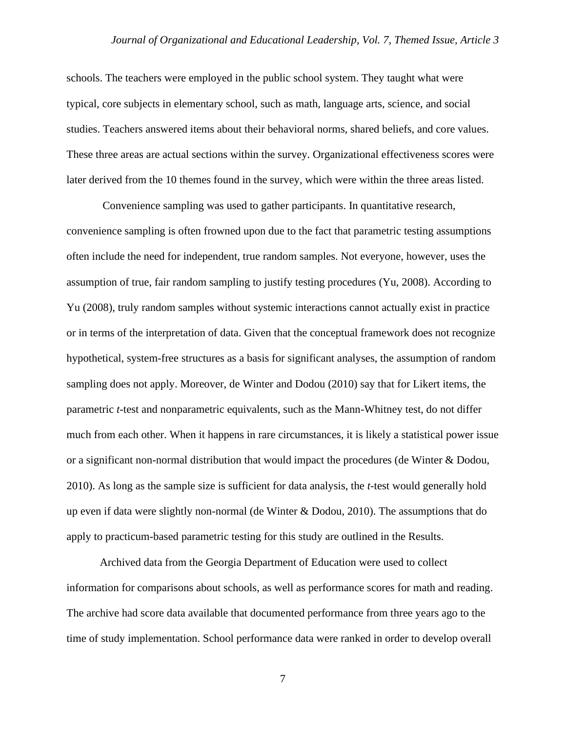schools. The teachers were employed in the public school system. They taught what were typical, core subjects in elementary school, such as math, language arts, science, and social studies. Teachers answered items about their behavioral norms, shared beliefs, and core values. These three areas are actual sections within the survey. Organizational effectiveness scores were later derived from the 10 themes found in the survey, which were within the three areas listed.

 Convenience sampling was used to gather participants. In quantitative research, convenience sampling is often frowned upon due to the fact that parametric testing assumptions often include the need for independent, true random samples. Not everyone, however, uses the assumption of true, fair random sampling to justify testing procedures (Yu, 2008). According to Yu (2008), truly random samples without systemic interactions cannot actually exist in practice or in terms of the interpretation of data. Given that the conceptual framework does not recognize hypothetical, system-free structures as a basis for significant analyses, the assumption of random sampling does not apply. Moreover, de Winter and Dodou (2010) say that for Likert items, the parametric *t-*test and nonparametric equivalents, such as the Mann-Whitney test, do not differ much from each other. When it happens in rare circumstances, it is likely a statistical power issue or a significant non-normal distribution that would impact the procedures (de Winter & Dodou, 2010). As long as the sample size is sufficient for data analysis, the *t*-test would generally hold up even if data were slightly non-normal (de Winter  $\&$  Dodou, 2010). The assumptions that do apply to practicum-based parametric testing for this study are outlined in the Results.

Archived data from the Georgia Department of Education were used to collect information for comparisons about schools, as well as performance scores for math and reading. The archive had score data available that documented performance from three years ago to the time of study implementation. School performance data were ranked in order to develop overall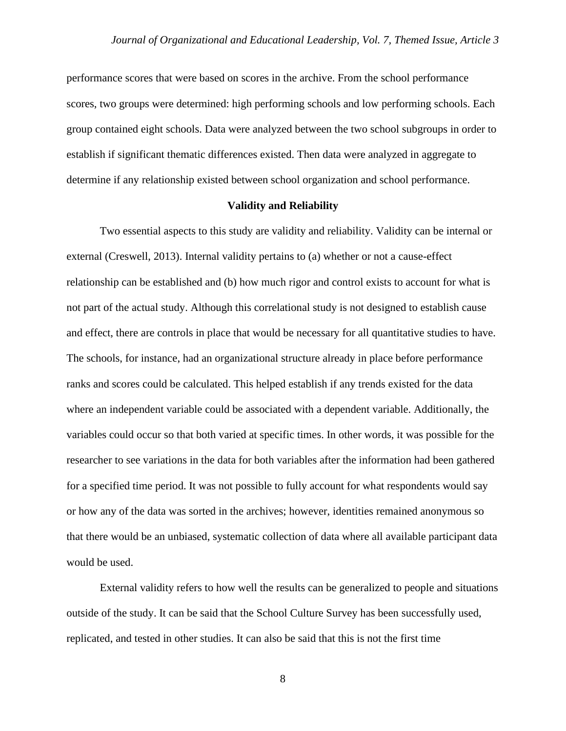performance scores that were based on scores in the archive. From the school performance scores, two groups were determined: high performing schools and low performing schools. Each group contained eight schools. Data were analyzed between the two school subgroups in order to establish if significant thematic differences existed. Then data were analyzed in aggregate to determine if any relationship existed between school organization and school performance.

#### **Validity and Reliability**

Two essential aspects to this study are validity and reliability. Validity can be internal or external (Creswell, 2013). Internal validity pertains to (a) whether or not a cause-effect relationship can be established and (b) how much rigor and control exists to account for what is not part of the actual study. Although this correlational study is not designed to establish cause and effect, there are controls in place that would be necessary for all quantitative studies to have. The schools, for instance, had an organizational structure already in place before performance ranks and scores could be calculated. This helped establish if any trends existed for the data where an independent variable could be associated with a dependent variable. Additionally, the variables could occur so that both varied at specific times. In other words, it was possible for the researcher to see variations in the data for both variables after the information had been gathered for a specified time period. It was not possible to fully account for what respondents would say or how any of the data was sorted in the archives; however, identities remained anonymous so that there would be an unbiased, systematic collection of data where all available participant data would be used.

External validity refers to how well the results can be generalized to people and situations outside of the study. It can be said that the School Culture Survey has been successfully used, replicated, and tested in other studies. It can also be said that this is not the first time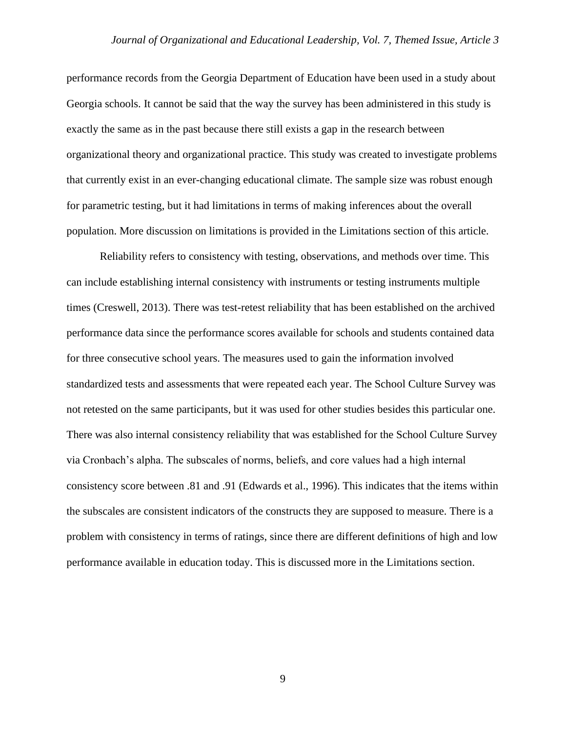performance records from the Georgia Department of Education have been used in a study about Georgia schools. It cannot be said that the way the survey has been administered in this study is exactly the same as in the past because there still exists a gap in the research between organizational theory and organizational practice. This study was created to investigate problems that currently exist in an ever-changing educational climate. The sample size was robust enough for parametric testing, but it had limitations in terms of making inferences about the overall population. More discussion on limitations is provided in the Limitations section of this article.

Reliability refers to consistency with testing, observations, and methods over time. This can include establishing internal consistency with instruments or testing instruments multiple times (Creswell, 2013). There was test-retest reliability that has been established on the archived performance data since the performance scores available for schools and students contained data for three consecutive school years. The measures used to gain the information involved standardized tests and assessments that were repeated each year. The School Culture Survey was not retested on the same participants, but it was used for other studies besides this particular one. There was also internal consistency reliability that was established for the School Culture Survey via Cronbach's alpha. The subscales of norms, beliefs, and core values had a high internal consistency score between .81 and .91 (Edwards et al., 1996). This indicates that the items within the subscales are consistent indicators of the constructs they are supposed to measure. There is a problem with consistency in terms of ratings, since there are different definitions of high and low performance available in education today. This is discussed more in the Limitations section.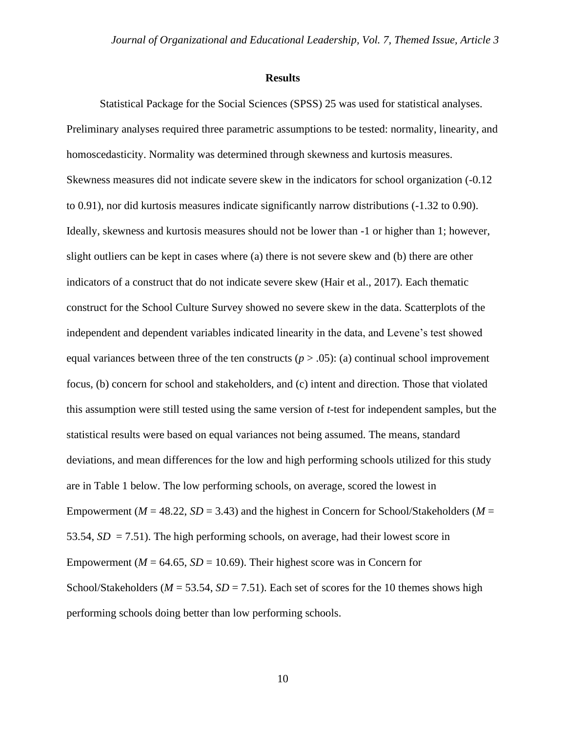#### **Results**

Statistical Package for the Social Sciences (SPSS) 25 was used for statistical analyses. Preliminary analyses required three parametric assumptions to be tested: normality, linearity, and homoscedasticity. Normality was determined through skewness and kurtosis measures. Skewness measures did not indicate severe skew in the indicators for school organization (-0.12 to 0.91), nor did kurtosis measures indicate significantly narrow distributions (-1.32 to 0.90). Ideally, skewness and kurtosis measures should not be lower than -1 or higher than 1; however, slight outliers can be kept in cases where (a) there is not severe skew and (b) there are other indicators of a construct that do not indicate severe skew (Hair et al., 2017). Each thematic construct for the School Culture Survey showed no severe skew in the data. Scatterplots of the independent and dependent variables indicated linearity in the data, and Levene's test showed equal variances between three of the ten constructs ( $p > .05$ ): (a) continual school improvement focus, (b) concern for school and stakeholders, and (c) intent and direction. Those that violated this assumption were still tested using the same version of *t*-test for independent samples, but the statistical results were based on equal variances not being assumed. The means, standard deviations, and mean differences for the low and high performing schools utilized for this study are in Table 1 below. The low performing schools, on average, scored the lowest in Empowerment ( $M = 48.22$ ,  $SD = 3.43$ ) and the highest in Concern for School/Stakeholders ( $M =$ 53.54,  $SD = 7.51$ ). The high performing schools, on average, had their lowest score in Empowerment ( $M = 64.65$ ,  $SD = 10.69$ ). Their highest score was in Concern for School/Stakeholders ( $M = 53.54$ ,  $SD = 7.51$ ). Each set of scores for the 10 themes shows high performing schools doing better than low performing schools.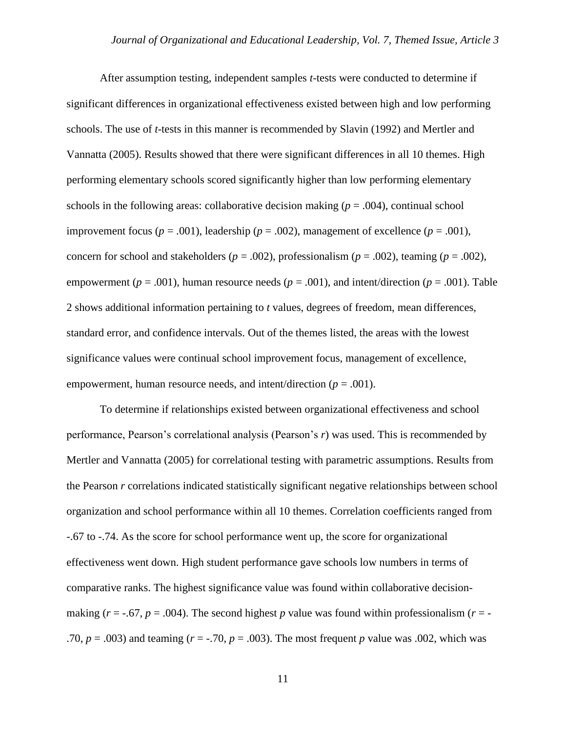After assumption testing, independent samples *t*-tests were conducted to determine if significant differences in organizational effectiveness existed between high and low performing schools. The use of *t*-tests in this manner is recommended by Slavin (1992) and Mertler and Vannatta (2005). Results showed that there were significant differences in all 10 themes. High performing elementary schools scored significantly higher than low performing elementary schools in the following areas: collaborative decision making  $(p = .004)$ , continual school improvement focus ( $p = .001$ ), leadership ( $p = .002$ ), management of excellence ( $p = .001$ ), concern for school and stakeholders ( $p = .002$ ), professionalism ( $p = .002$ ), teaming ( $p = .002$ ), empowerment ( $p = .001$ ), human resource needs ( $p = .001$ ), and intent/direction ( $p = .001$ ). Table 2 shows additional information pertaining to *t* values, degrees of freedom, mean differences, standard error, and confidence intervals. Out of the themes listed, the areas with the lowest significance values were continual school improvement focus, management of excellence, empowerment, human resource needs, and intent/direction  $(p = .001)$ .

To determine if relationships existed between organizational effectiveness and school performance, Pearson's correlational analysis (Pearson's *r*) was used. This is recommended by Mertler and Vannatta (2005) for correlational testing with parametric assumptions. Results from the Pearson *r* correlations indicated statistically significant negative relationships between school organization and school performance within all 10 themes. Correlation coefficients ranged from -.67 to -.74. As the score for school performance went up, the score for organizational effectiveness went down. High student performance gave schools low numbers in terms of comparative ranks. The highest significance value was found within collaborative decisionmaking ( $r = -0.67$ ,  $p = 0.004$ ). The second highest  $p$  value was found within professionalism ( $r = -1$ .70,  $p = .003$ ) and teaming ( $r = .70$ ,  $p = .003$ ). The most frequent  $p$  value was .002, which was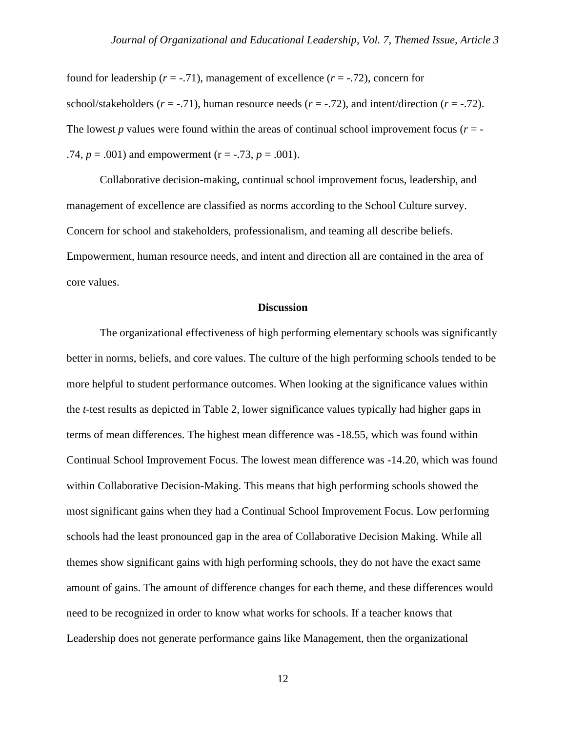found for leadership  $(r = -0.71)$ , management of excellence  $(r = -0.72)$ , concern for school/stakeholders  $(r = -0.71)$ , human resource needs  $(r = -0.72)$ , and intent/direction  $(r = -0.72)$ . The lowest *p* values were found within the areas of continual school improvement focus  $(r = -1)$ .74,  $p = .001$ ) and empowerment (r = -.73,  $p = .001$ ).

Collaborative decision-making, continual school improvement focus, leadership, and management of excellence are classified as norms according to the School Culture survey. Concern for school and stakeholders, professionalism, and teaming all describe beliefs. Empowerment, human resource needs, and intent and direction all are contained in the area of core values.

#### **Discussion**

The organizational effectiveness of high performing elementary schools was significantly better in norms, beliefs, and core values. The culture of the high performing schools tended to be more helpful to student performance outcomes. When looking at the significance values within the *t*-test results as depicted in Table 2, lower significance values typically had higher gaps in terms of mean differences. The highest mean difference was -18.55, which was found within Continual School Improvement Focus. The lowest mean difference was -14.20, which was found within Collaborative Decision-Making. This means that high performing schools showed the most significant gains when they had a Continual School Improvement Focus. Low performing schools had the least pronounced gap in the area of Collaborative Decision Making. While all themes show significant gains with high performing schools, they do not have the exact same amount of gains. The amount of difference changes for each theme, and these differences would need to be recognized in order to know what works for schools. If a teacher knows that Leadership does not generate performance gains like Management, then the organizational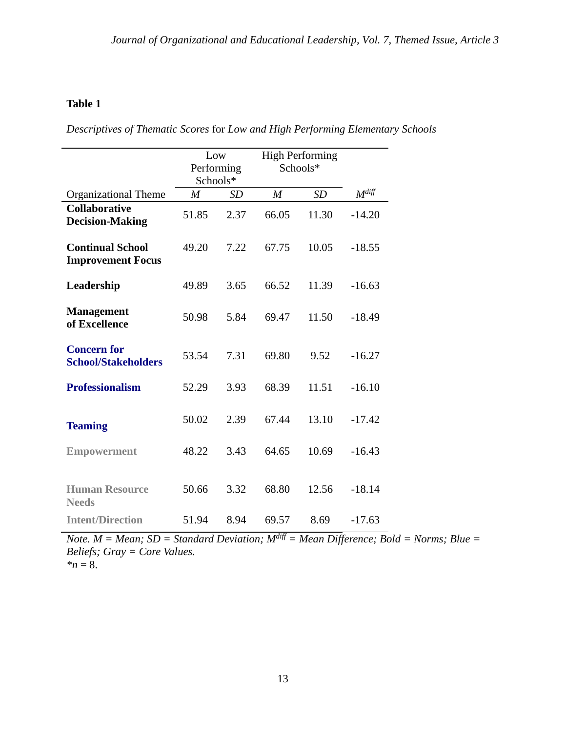## **Table 1**

*Descriptives of Thematic Scores* for *Low and High Performing Elementary Schools*

|                                                     | Low<br>Performing<br>Schools* |      | <b>High Performing</b><br>Schools* |       |            |
|-----------------------------------------------------|-------------------------------|------|------------------------------------|-------|------------|
| <b>Organizational Theme</b>                         | $\overline{M}$                | SD   | $\boldsymbol{M}$                   | SD    | $M^{diff}$ |
| <b>Collaborative</b><br><b>Decision-Making</b>      | 51.85                         | 2.37 | 66.05                              | 11.30 | $-14.20$   |
| <b>Continual School</b><br><b>Improvement Focus</b> | 49.20                         | 7.22 | 67.75                              | 10.05 | $-18.55$   |
| Leadership                                          | 49.89                         | 3.65 | 66.52                              | 11.39 | $-16.63$   |
| <b>Management</b><br>of Excellence                  | 50.98                         | 5.84 | 69.47                              | 11.50 | $-18.49$   |
| <b>Concern for</b><br><b>School/Stakeholders</b>    | 53.54                         | 7.31 | 69.80                              | 9.52  | $-16.27$   |
| <b>Professionalism</b>                              | 52.29                         | 3.93 | 68.39                              | 11.51 | $-16.10$   |
| <b>Teaming</b>                                      | 50.02                         | 2.39 | 67.44                              | 13.10 | $-17.42$   |
| <b>Empowerment</b>                                  | 48.22                         | 3.43 | 64.65                              | 10.69 | $-16.43$   |
| <b>Human Resource</b><br><b>Needs</b>               | 50.66                         | 3.32 | 68.80                              | 12.56 | $-18.14$   |
| <b>Intent/Direction</b>                             | 51.94                         | 8.94 | 69.57                              | 8.69  | $-17.63$   |

*Note.*  $M = Mean$ ;  $SD = Standard Deviation$ ;  $M^{diff} = Mean Difference$ ;  $Bold = Norm$ ;  $Blue =$ *Beliefs; Gray = Core Values.*  $n = 8$ .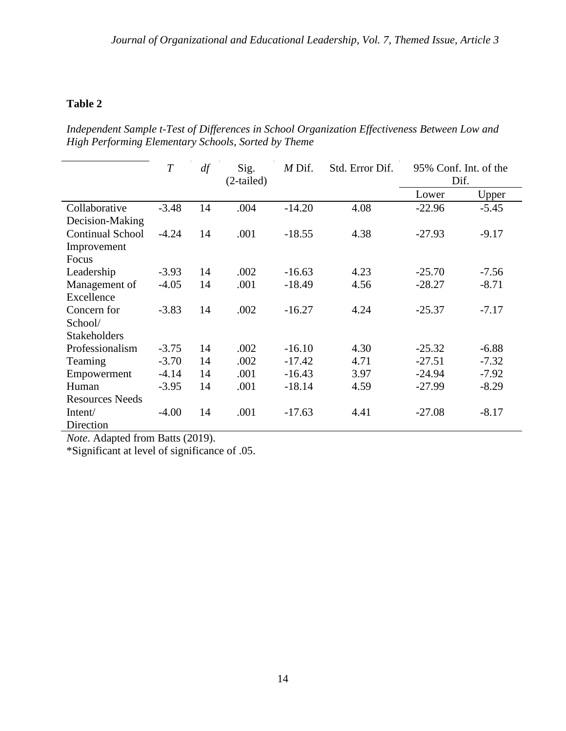## **Table 2**

*Independent Sample t-Test of Differences in School Organization Effectiveness Between Low and High Performing Elementary Schools, Sorted by Theme*

|                         | T       | df | Sig.         | $M$ Dif. | Std. Error Dif. | 95% Conf. Int. of the |         |
|-------------------------|---------|----|--------------|----------|-----------------|-----------------------|---------|
|                         |         |    | $(2-tailed)$ |          |                 | Dif.                  |         |
|                         |         |    |              |          |                 | Lower                 | Upper   |
| Collaborative           | $-3.48$ | 14 | .004         | $-14.20$ | 4.08            | $-22.96$              | $-5.45$ |
| Decision-Making         |         |    |              |          |                 |                       |         |
| <b>Continual School</b> | $-4.24$ | 14 | .001         | $-18.55$ | 4.38            | $-27.93$              | $-9.17$ |
| Improvement             |         |    |              |          |                 |                       |         |
| Focus                   |         |    |              |          |                 |                       |         |
| Leadership              | $-3.93$ | 14 | .002         | $-16.63$ | 4.23            | $-25.70$              | $-7.56$ |
| Management of           | $-4.05$ | 14 | .001         | $-18.49$ | 4.56            | $-28.27$              | $-8.71$ |
| Excellence              |         |    |              |          |                 |                       |         |
| Concern for             | $-3.83$ | 14 | .002         | $-16.27$ | 4.24            | $-25.37$              | $-7.17$ |
| School/                 |         |    |              |          |                 |                       |         |
| <b>Stakeholders</b>     |         |    |              |          |                 |                       |         |
| Professionalism         | $-3.75$ | 14 | .002         | $-16.10$ | 4.30            | $-25.32$              | $-6.88$ |
| Teaming                 | $-3.70$ | 14 | .002         | $-17.42$ | 4.71            | $-27.51$              | $-7.32$ |
| Empowerment             | $-4.14$ | 14 | .001         | $-16.43$ | 3.97            | $-24.94$              | $-7.92$ |
| Human                   | $-3.95$ | 14 | .001         | $-18.14$ | 4.59            | $-27.99$              | $-8.29$ |
| Resources Needs         |         |    |              |          |                 |                       |         |
| Intent/                 | $-4.00$ | 14 | .001         | $-17.63$ | 4.41            | $-27.08$              | $-8.17$ |
| Direction               |         |    |              |          |                 |                       |         |

*Note*. Adapted from Batts (2019).

\*Significant at level of significance of .05.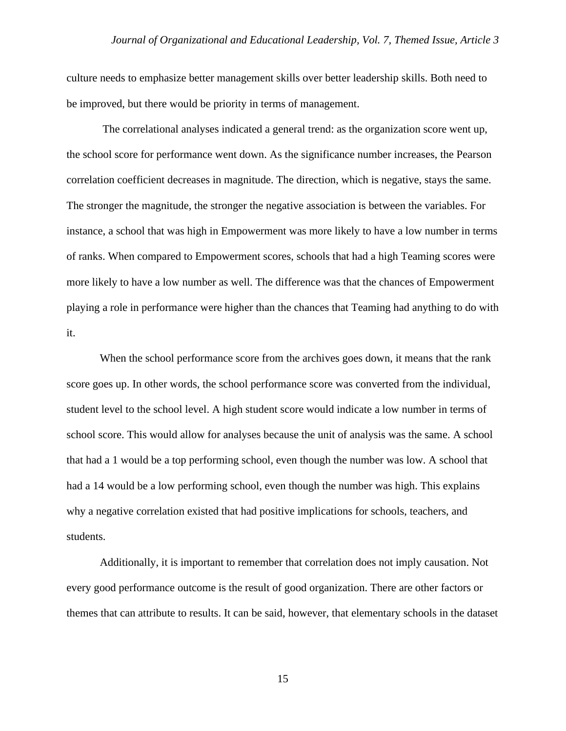culture needs to emphasize better management skills over better leadership skills. Both need to be improved, but there would be priority in terms of management.

The correlational analyses indicated a general trend: as the organization score went up, the school score for performance went down. As the significance number increases, the Pearson correlation coefficient decreases in magnitude. The direction, which is negative, stays the same. The stronger the magnitude, the stronger the negative association is between the variables. For instance, a school that was high in Empowerment was more likely to have a low number in terms of ranks. When compared to Empowerment scores, schools that had a high Teaming scores were more likely to have a low number as well. The difference was that the chances of Empowerment playing a role in performance were higher than the chances that Teaming had anything to do with it.

When the school performance score from the archives goes down, it means that the rank score goes up. In other words, the school performance score was converted from the individual, student level to the school level. A high student score would indicate a low number in terms of school score. This would allow for analyses because the unit of analysis was the same. A school that had a 1 would be a top performing school, even though the number was low. A school that had a 14 would be a low performing school, even though the number was high. This explains why a negative correlation existed that had positive implications for schools, teachers, and students.

Additionally, it is important to remember that correlation does not imply causation. Not every good performance outcome is the result of good organization. There are other factors or themes that can attribute to results. It can be said, however, that elementary schools in the dataset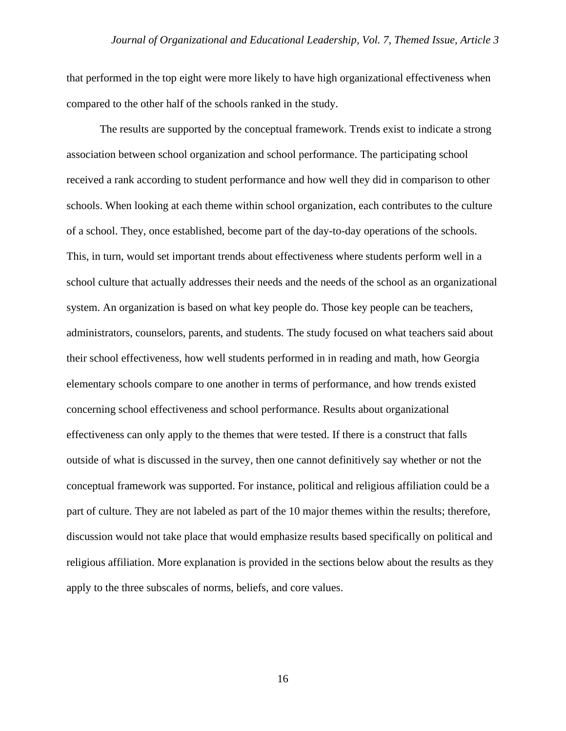that performed in the top eight were more likely to have high organizational effectiveness when compared to the other half of the schools ranked in the study.

The results are supported by the conceptual framework. Trends exist to indicate a strong association between school organization and school performance. The participating school received a rank according to student performance and how well they did in comparison to other schools. When looking at each theme within school organization, each contributes to the culture of a school. They, once established, become part of the day-to-day operations of the schools. This, in turn, would set important trends about effectiveness where students perform well in a school culture that actually addresses their needs and the needs of the school as an organizational system. An organization is based on what key people do. Those key people can be teachers, administrators, counselors, parents, and students. The study focused on what teachers said about their school effectiveness, how well students performed in in reading and math, how Georgia elementary schools compare to one another in terms of performance, and how trends existed concerning school effectiveness and school performance. Results about organizational effectiveness can only apply to the themes that were tested. If there is a construct that falls outside of what is discussed in the survey, then one cannot definitively say whether or not the conceptual framework was supported. For instance, political and religious affiliation could be a part of culture. They are not labeled as part of the 10 major themes within the results; therefore, discussion would not take place that would emphasize results based specifically on political and religious affiliation. More explanation is provided in the sections below about the results as they apply to the three subscales of norms, beliefs, and core values.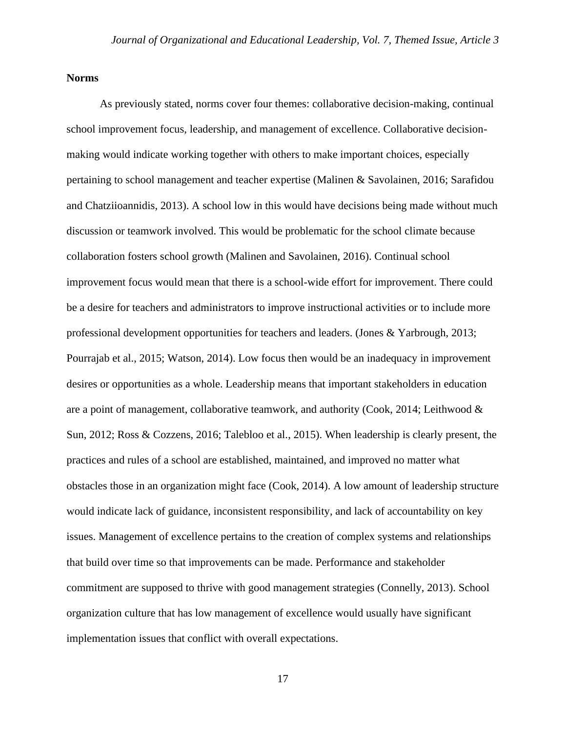#### **Norms**

As previously stated, norms cover four themes: collaborative decision-making, continual school improvement focus, leadership, and management of excellence. Collaborative decisionmaking would indicate working together with others to make important choices, especially pertaining to school management and teacher expertise (Malinen & Savolainen, 2016; Sarafidou and Chatziioannidis, 2013). A school low in this would have decisions being made without much discussion or teamwork involved. This would be problematic for the school climate because collaboration fosters school growth (Malinen and Savolainen, 2016). Continual school improvement focus would mean that there is a school-wide effort for improvement. There could be a desire for teachers and administrators to improve instructional activities or to include more professional development opportunities for teachers and leaders. (Jones & Yarbrough, 2013; Pourrajab et al., 2015; Watson, 2014). Low focus then would be an inadequacy in improvement desires or opportunities as a whole. Leadership means that important stakeholders in education are a point of management, collaborative teamwork, and authority (Cook, 2014; Leithwood  $\&$ Sun, 2012; Ross & Cozzens, 2016; Talebloo et al., 2015). When leadership is clearly present, the practices and rules of a school are established, maintained, and improved no matter what obstacles those in an organization might face (Cook, 2014). A low amount of leadership structure would indicate lack of guidance, inconsistent responsibility, and lack of accountability on key issues. Management of excellence pertains to the creation of complex systems and relationships that build over time so that improvements can be made. Performance and stakeholder commitment are supposed to thrive with good management strategies (Connelly, 2013). School organization culture that has low management of excellence would usually have significant implementation issues that conflict with overall expectations.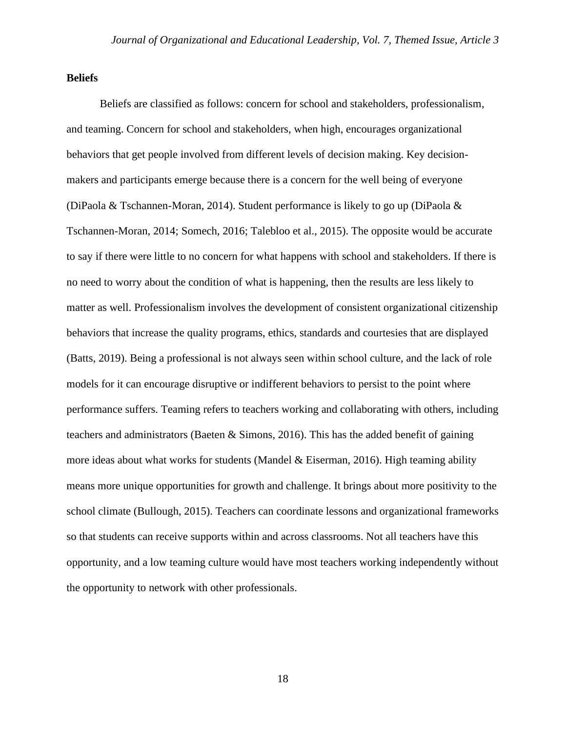#### **Beliefs**

Beliefs are classified as follows: concern for school and stakeholders, professionalism, and teaming. Concern for school and stakeholders, when high, encourages organizational behaviors that get people involved from different levels of decision making. Key decisionmakers and participants emerge because there is a concern for the well being of everyone (DiPaola & Tschannen-Moran, 2014). Student performance is likely to go up (DiPaola & Tschannen-Moran, 2014; Somech, 2016; Talebloo et al., 2015). The opposite would be accurate to say if there were little to no concern for what happens with school and stakeholders. If there is no need to worry about the condition of what is happening, then the results are less likely to matter as well. Professionalism involves the development of consistent organizational citizenship behaviors that increase the quality programs, ethics, standards and courtesies that are displayed (Batts, 2019). Being a professional is not always seen within school culture, and the lack of role models for it can encourage disruptive or indifferent behaviors to persist to the point where performance suffers. Teaming refers to teachers working and collaborating with others, including teachers and administrators (Baeten & Simons, 2016). This has the added benefit of gaining more ideas about what works for students (Mandel  $&$  Eiserman, 2016). High teaming ability means more unique opportunities for growth and challenge. It brings about more positivity to the school climate (Bullough, 2015). Teachers can coordinate lessons and organizational frameworks so that students can receive supports within and across classrooms. Not all teachers have this opportunity, and a low teaming culture would have most teachers working independently without the opportunity to network with other professionals.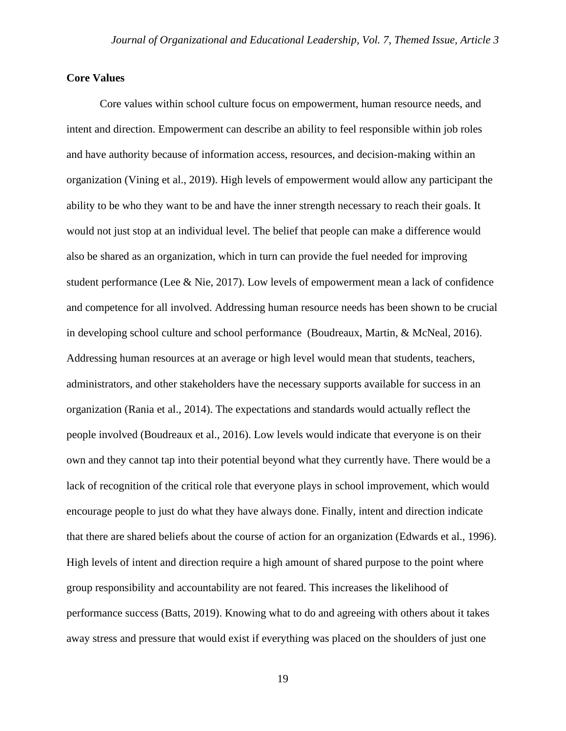#### **Core Values**

Core values within school culture focus on empowerment, human resource needs, and intent and direction. Empowerment can describe an ability to feel responsible within job roles and have authority because of information access, resources, and decision-making within an organization (Vining et al., 2019). High levels of empowerment would allow any participant the ability to be who they want to be and have the inner strength necessary to reach their goals. It would not just stop at an individual level. The belief that people can make a difference would also be shared as an organization, which in turn can provide the fuel needed for improving student performance (Lee & Nie, 2017). Low levels of empowerment mean a lack of confidence and competence for all involved. Addressing human resource needs has been shown to be crucial in developing school culture and school performance (Boudreaux, Martin, & McNeal, 2016). Addressing human resources at an average or high level would mean that students, teachers, administrators, and other stakeholders have the necessary supports available for success in an organization (Rania et al., 2014). The expectations and standards would actually reflect the people involved (Boudreaux et al., 2016). Low levels would indicate that everyone is on their own and they cannot tap into their potential beyond what they currently have. There would be a lack of recognition of the critical role that everyone plays in school improvement, which would encourage people to just do what they have always done. Finally, intent and direction indicate that there are shared beliefs about the course of action for an organization (Edwards et al., 1996). High levels of intent and direction require a high amount of shared purpose to the point where group responsibility and accountability are not feared. This increases the likelihood of performance success (Batts, 2019). Knowing what to do and agreeing with others about it takes away stress and pressure that would exist if everything was placed on the shoulders of just one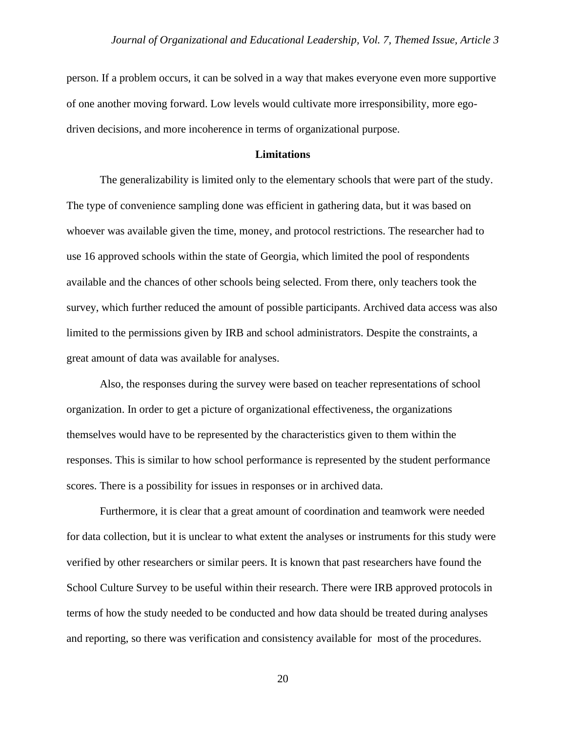person. If a problem occurs, it can be solved in a way that makes everyone even more supportive of one another moving forward. Low levels would cultivate more irresponsibility, more egodriven decisions, and more incoherence in terms of organizational purpose.

#### **Limitations**

The generalizability is limited only to the elementary schools that were part of the study. The type of convenience sampling done was efficient in gathering data, but it was based on whoever was available given the time, money, and protocol restrictions. The researcher had to use 16 approved schools within the state of Georgia, which limited the pool of respondents available and the chances of other schools being selected. From there, only teachers took the survey, which further reduced the amount of possible participants. Archived data access was also limited to the permissions given by IRB and school administrators. Despite the constraints, a great amount of data was available for analyses.

Also, the responses during the survey were based on teacher representations of school organization. In order to get a picture of organizational effectiveness, the organizations themselves would have to be represented by the characteristics given to them within the responses. This is similar to how school performance is represented by the student performance scores. There is a possibility for issues in responses or in archived data.

Furthermore, it is clear that a great amount of coordination and teamwork were needed for data collection, but it is unclear to what extent the analyses or instruments for this study were verified by other researchers or similar peers. It is known that past researchers have found the School Culture Survey to be useful within their research. There were IRB approved protocols in terms of how the study needed to be conducted and how data should be treated during analyses and reporting, so there was verification and consistency available for most of the procedures.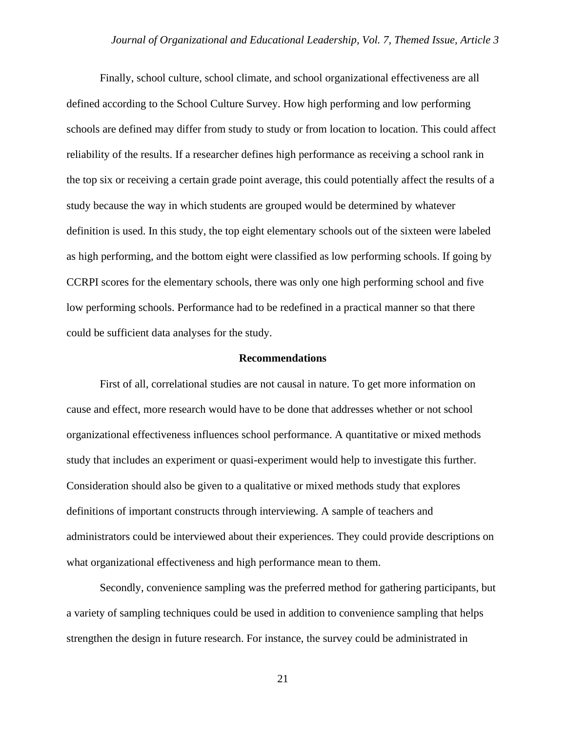Finally, school culture, school climate, and school organizational effectiveness are all defined according to the School Culture Survey. How high performing and low performing schools are defined may differ from study to study or from location to location. This could affect reliability of the results. If a researcher defines high performance as receiving a school rank in the top six or receiving a certain grade point average, this could potentially affect the results of a study because the way in which students are grouped would be determined by whatever definition is used. In this study, the top eight elementary schools out of the sixteen were labeled as high performing, and the bottom eight were classified as low performing schools. If going by CCRPI scores for the elementary schools, there was only one high performing school and five low performing schools. Performance had to be redefined in a practical manner so that there could be sufficient data analyses for the study.

#### **Recommendations**

First of all, correlational studies are not causal in nature. To get more information on cause and effect, more research would have to be done that addresses whether or not school organizational effectiveness influences school performance. A quantitative or mixed methods study that includes an experiment or quasi-experiment would help to investigate this further. Consideration should also be given to a qualitative or mixed methods study that explores definitions of important constructs through interviewing. A sample of teachers and administrators could be interviewed about their experiences. They could provide descriptions on what organizational effectiveness and high performance mean to them.

Secondly, convenience sampling was the preferred method for gathering participants, but a variety of sampling techniques could be used in addition to convenience sampling that helps strengthen the design in future research. For instance, the survey could be administrated in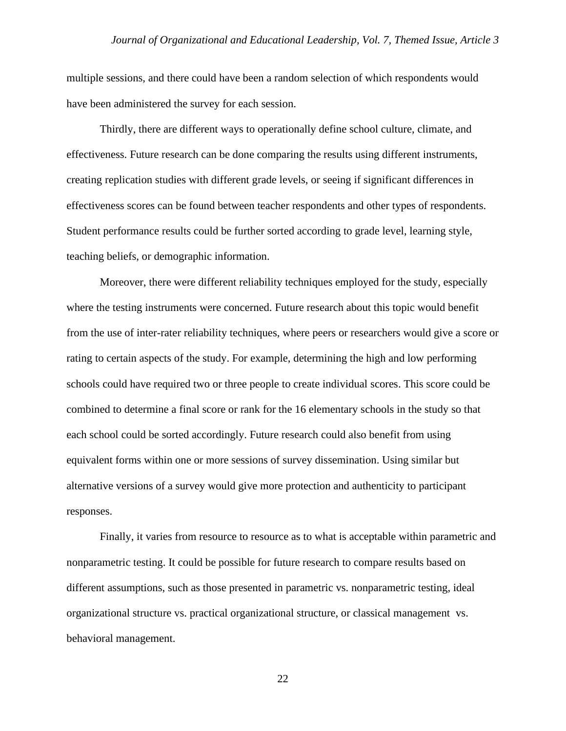multiple sessions, and there could have been a random selection of which respondents would have been administered the survey for each session.

Thirdly, there are different ways to operationally define school culture, climate, and effectiveness. Future research can be done comparing the results using different instruments, creating replication studies with different grade levels, or seeing if significant differences in effectiveness scores can be found between teacher respondents and other types of respondents. Student performance results could be further sorted according to grade level, learning style, teaching beliefs, or demographic information.

Moreover, there were different reliability techniques employed for the study, especially where the testing instruments were concerned. Future research about this topic would benefit from the use of inter-rater reliability techniques, where peers or researchers would give a score or rating to certain aspects of the study. For example, determining the high and low performing schools could have required two or three people to create individual scores. This score could be combined to determine a final score or rank for the 16 elementary schools in the study so that each school could be sorted accordingly. Future research could also benefit from using equivalent forms within one or more sessions of survey dissemination. Using similar but alternative versions of a survey would give more protection and authenticity to participant responses.

Finally, it varies from resource to resource as to what is acceptable within parametric and nonparametric testing. It could be possible for future research to compare results based on different assumptions, such as those presented in parametric vs. nonparametric testing, ideal organizational structure vs. practical organizational structure, or classical management vs. behavioral management.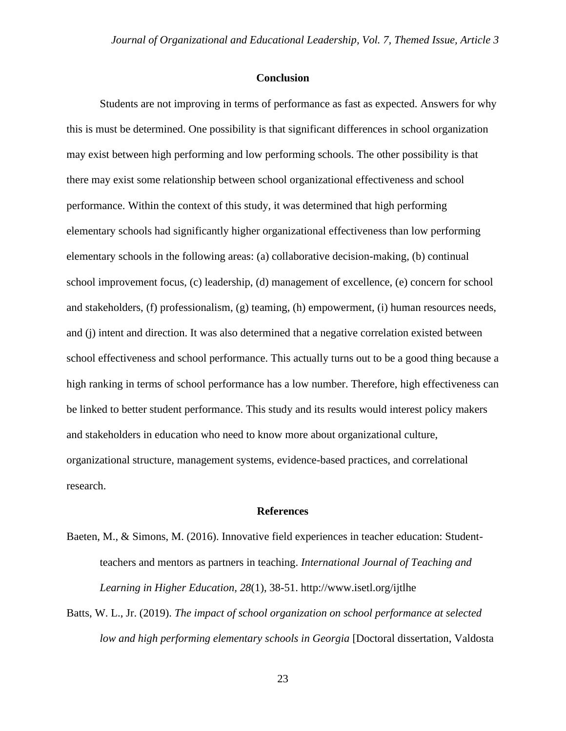#### **Conclusion**

Students are not improving in terms of performance as fast as expected. Answers for why this is must be determined. One possibility is that significant differences in school organization may exist between high performing and low performing schools. The other possibility is that there may exist some relationship between school organizational effectiveness and school performance. Within the context of this study, it was determined that high performing elementary schools had significantly higher organizational effectiveness than low performing elementary schools in the following areas: (a) collaborative decision-making, (b) continual school improvement focus, (c) leadership, (d) management of excellence, (e) concern for school and stakeholders, (f) professionalism, (g) teaming, (h) empowerment, (i) human resources needs, and (j) intent and direction. It was also determined that a negative correlation existed between school effectiveness and school performance. This actually turns out to be a good thing because a high ranking in terms of school performance has a low number. Therefore, high effectiveness can be linked to better student performance. This study and its results would interest policy makers and stakeholders in education who need to know more about organizational culture, organizational structure, management systems, evidence-based practices, and correlational research.

#### **References**

- Baeten, M., & Simons, M. (2016). Innovative field experiences in teacher education: Studentteachers and mentors as partners in teaching. *International Journal of Teaching and Learning in Higher Education, 28*(1), 38-51. http://www.isetl.org/ijtlhe
- Batts, W. L., Jr. (2019). *The impact of school organization on school performance at selected low and high performing elementary schools in Georgia* [Doctoral dissertation, Valdosta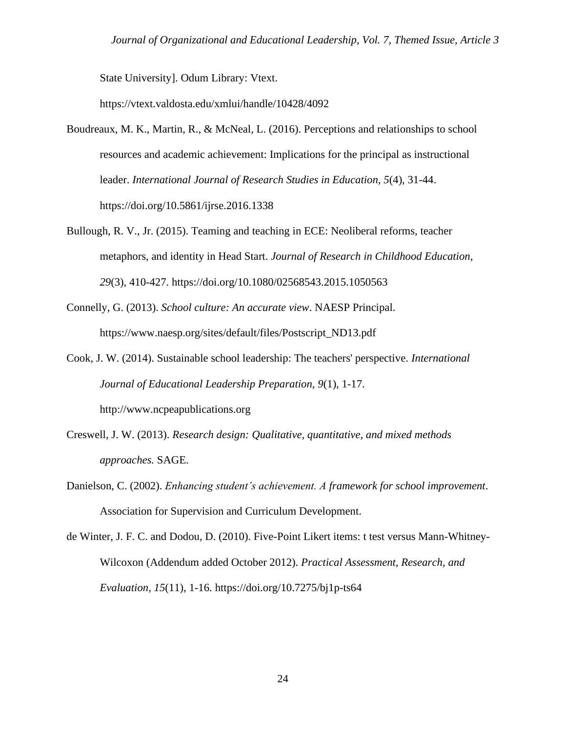State University]. Odum Library: Vtext.

https://vtext.valdosta.edu/xmlui/handle/10428/4092

- Boudreaux, M. K., Martin, R., & McNeal, L. (2016). Perceptions and relationships to school resources and academic achievement: Implications for the principal as instructional leader. *International Journal of Research Studies in Education, 5*(4), 31-44. https://doi.org/10.5861/ijrse.2016.1338
- Bullough, R. V., Jr. (2015). Teaming and teaching in ECE: Neoliberal reforms, teacher metaphors, and identity in Head Start. *Journal of Research in Childhood Education, 29*(3), 410-427. https://doi.org/10.1080/02568543.2015.1050563
- Connelly, G. (2013). *School culture: An accurate view*. NAESP Principal. https://www.naesp.org/sites/default/files/Postscript\_ND13.pdf
- Cook, J. W. (2014). Sustainable school leadership: The teachers' perspective. *International Journal of Educational Leadership Preparation, 9*(1), 1-17. http://www.ncpeapublications.org
- Creswell, J. W. (2013). *Research design: Qualitative, quantitative, and mixed methods approaches.* SAGE.
- Danielson, C. (2002). *Enhancing student's achievement. A framework for school improvement*. Association for Supervision and Curriculum Development.
- de Winter, J. F. C. and Dodou, D. (2010). Five-Point Likert items: t test versus Mann-Whitney-Wilcoxon (Addendum added October 2012). *Practical Assessment, Research, and Evaluation, 15*(11), 1-16. https://doi.org/10.7275/bj1p-ts64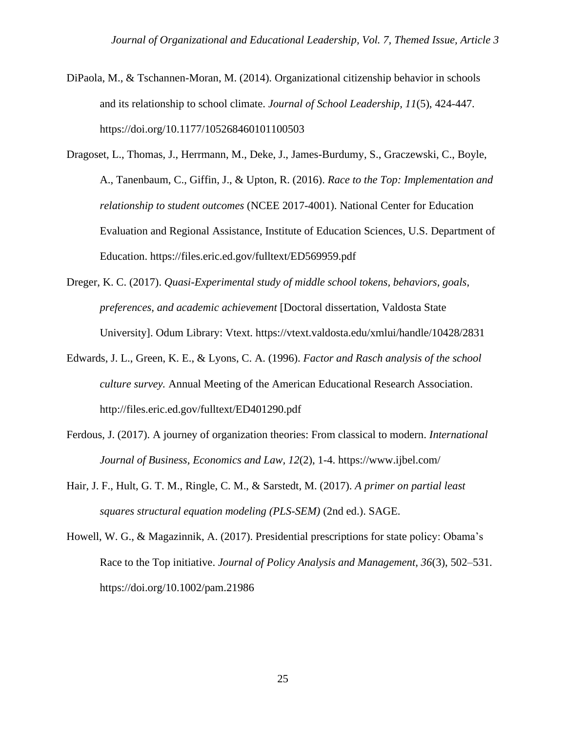- DiPaola, M., & Tschannen-Moran, M. (2014). Organizational citizenship behavior in schools and its relationship to school climate. *Journal of School Leadership, 11*(5), 424-447. https://doi.org/10.1177/105268460101100503
- Dragoset, L., Thomas, J., Herrmann, M., Deke, J., James-Burdumy, S., Graczewski, C., Boyle, A., Tanenbaum, C., Giffin, J., & Upton, R. (2016). *Race to the Top: Implementation and relationship to student outcomes* (NCEE 2017-4001). National Center for Education Evaluation and Regional Assistance, Institute of Education Sciences, U.S. Department of Education. https://files.eric.ed.gov/fulltext/ED569959.pdf
- Dreger, K. C. (2017). *Quasi-Experimental study of middle school tokens, behaviors, goals, preferences, and academic achievement* [Doctoral dissertation, Valdosta State University]. Odum Library: Vtext. https://vtext.valdosta.edu/xmlui/handle/10428/2831
- Edwards, J. L., Green, K. E., & Lyons, C. A. (1996). *Factor and Rasch analysis of the school culture survey.* Annual Meeting of the American Educational Research Association. http://files.eric.ed.gov/fulltext/ED401290.pdf
- Ferdous, J. (2017). A journey of organization theories: From classical to modern. *International Journal of Business, Economics and Law, 12*(2), 1-4. https://www.ijbel.com/
- Hair, J. F., Hult, G. T. M., Ringle, C. M., & Sarstedt, M. (2017). *A primer on partial least squares structural equation modeling (PLS-SEM)* (2nd ed.). SAGE.
- Howell, W. G., & Magazinnik, A. (2017). Presidential prescriptions for state policy: Obama's Race to the Top initiative. *Journal of Policy Analysis and Management, 36*(3), 502–531. https://doi.org/10.1002/pam.21986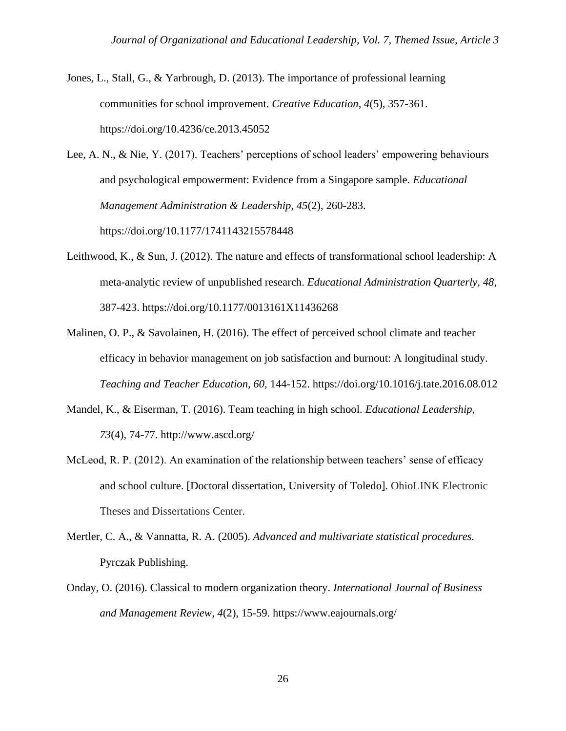Jones, L., Stall, G., & Yarbrough, D. (2013). The importance of professional learning communities for school improvement. *Creative Education, 4*(5), 357-361. https://doi.org/10.4236/ce.2013.45052

Lee, A. N., & Nie, Y. (2017). Teachers' perceptions of school leaders' empowering behaviours and psychological empowerment: Evidence from a Singapore sample. *Educational Management Administration & Leadership, 45*(2), 260-283. https://doi.org/10.1177/1741143215578448

- Leithwood, K., & Sun, J. (2012). The nature and effects of transformational school leadership: A meta-analytic review of unpublished research. *Educational Administration Quarterly, 48*, 387-423. https://doi.org/10.1177/0013161X11436268
- Malinen, O. P., & Savolainen, H. (2016). The effect of perceived school climate and teacher efficacy in behavior management on job satisfaction and burnout: A longitudinal study. *Teaching and Teacher Education, 60,* 144-152. https://doi.org/10.1016/j.tate.2016.08.012
- Mandel, K., & Eiserman, T. (2016). Team teaching in high school. *Educational Leadership, 73*(4), 74-77. http://www.ascd.org/
- McLeod, R. P. (2012). An examination of the relationship between teachers' sense of efficacy and school culture. [Doctoral dissertation, University of Toledo]. OhioLINK Electronic Theses and Dissertations Center.
- Mertler, C. A., & Vannatta, R. A. (2005). *Advanced and multivariate statistical procedures.* Pyrczak Publishing.
- Onday, O. (2016). Classical to modern organization theory. *International Journal of Business and Management Review, 4*(2), 15-59. https://www.eajournals.org/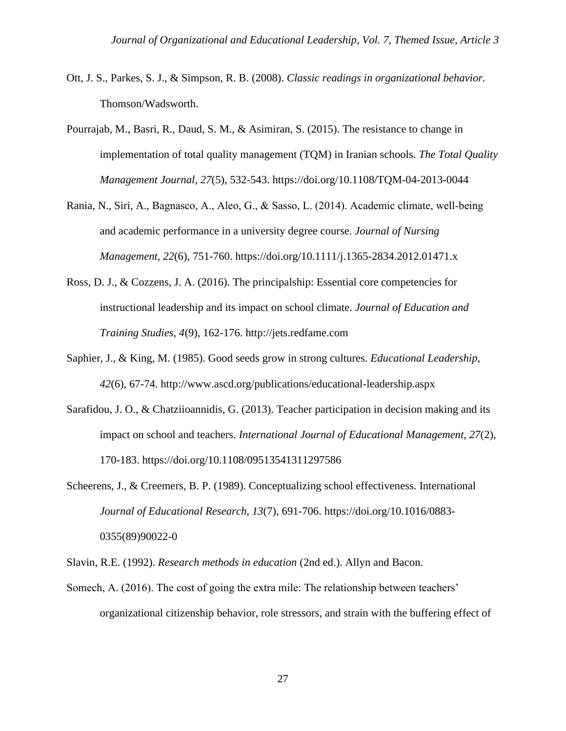- Ott, J. S., Parkes, S. J., & Simpson, R. B. (2008). *Classic readings in organizational behavior.* Thomson/Wadsworth.
- Pourrajab, M., Basri, R., Daud, S. M., & Asimiran, S. (2015). The resistance to change in implementation of total quality management (TQM) in Iranian schools. *The Total Quality Management Journal, 27*(5), 532-543. https://doi.org/10.1108/TQM-04-2013-0044
- Rania, N., Siri, A., Bagnasco, A., Aleo, G., & Sasso, L. (2014). Academic climate, well‐being and academic performance in a university degree course. *Journal of Nursing Management, 22*(6), 751-760. https://doi.org/10.1111/j.1365-2834.2012.01471.x
- Ross, D. J., & Cozzens, J. A. (2016). The principalship: Essential core competencies for instructional leadership and its impact on school climate. *Journal of Education and Training Studies, 4*(9), 162-176. http://jets.redfame.com
- Saphier, J., & King, M. (1985). Good seeds grow in strong cultures. *Educational Leadership, 42*(6), 67-74. http://www.ascd.org/publications/educational-leadership.aspx
- Sarafidou, J. O., & Chatziioannidis, G. (2013). Teacher participation in decision making and its impact on school and teachers. *International Journal of Educational Management, 27*(2), 170-183. https://doi.org/10.1108/09513541311297586
- Scheerens, J., & Creemers, B. P. (1989). Conceptualizing school effectiveness. International *Journal of Educational Research, 13*(7), 691-706. https://doi.org/10.1016/0883- 0355(89)90022-0

Slavin, R.E. (1992). *Research methods in education* (2nd ed.). Allyn and Bacon.

Somech, A. (2016). The cost of going the extra mile: The relationship between teachers' organizational citizenship behavior, role stressors, and strain with the buffering effect of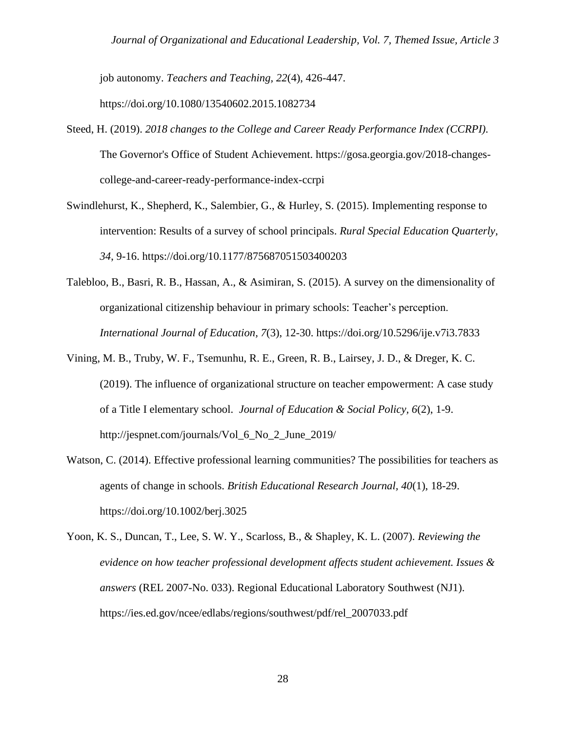job autonomy. *Teachers and Teaching, 22*(4), 426-447. https://doi.org/10.1080/13540602.2015.1082734

- Steed, H. (2019). *2018 changes to the College and Career Ready Performance Index (CCRPI).*  The Governor's Office of Student Achievement. https://gosa.georgia.gov/2018-changescollege-and-career-ready-performance-index-ccrpi
- Swindlehurst, K., Shepherd, K., Salembier, G., & Hurley, S. (2015). Implementing response to intervention: Results of a survey of school principals. *Rural Special Education Quarterly, 34*, 9-16. https://doi.org/10.1177/875687051503400203
- Talebloo, B., Basri, R. B., Hassan, A., & Asimiran, S. (2015). A survey on the dimensionality of organizational citizenship behaviour in primary schools: Teacher's perception. *International Journal of Education, 7*(3), 12-30. https://doi.org/10.5296/ije.v7i3.7833
- Vining, M. B., Truby, W. F., Tsemunhu, R. E., Green, R. B., Lairsey, J. D., & Dreger, K. C. (2019). The influence of organizational structure on teacher empowerment: A case study of a Title I elementary school. *Journal of Education & Social Policy, 6*(2), 1-9. http://jespnet.com/journals/Vol\_6\_No\_2\_June\_2019/
- Watson, C. (2014). Effective professional learning communities? The possibilities for teachers as agents of change in schools. *British Educational Research Journal, 40*(1), 18-29. https://doi.org/10.1002/berj.3025
- Yoon, K. S., Duncan, T., Lee, S. W. Y., Scarloss, B., & Shapley, K. L. (2007). *Reviewing the evidence on how teacher professional development affects student achievement. Issues & answers* (REL 2007-No. 033). Regional Educational Laboratory Southwest (NJ1). https://ies.ed.gov/ncee/edlabs/regions/southwest/pdf/rel\_2007033.pdf